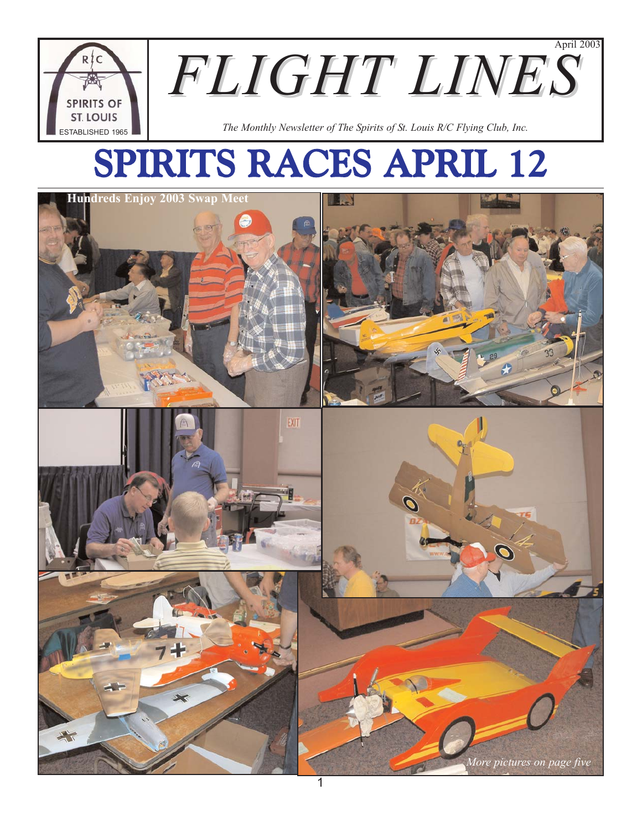

# SPIRITS RACES APRIL 12

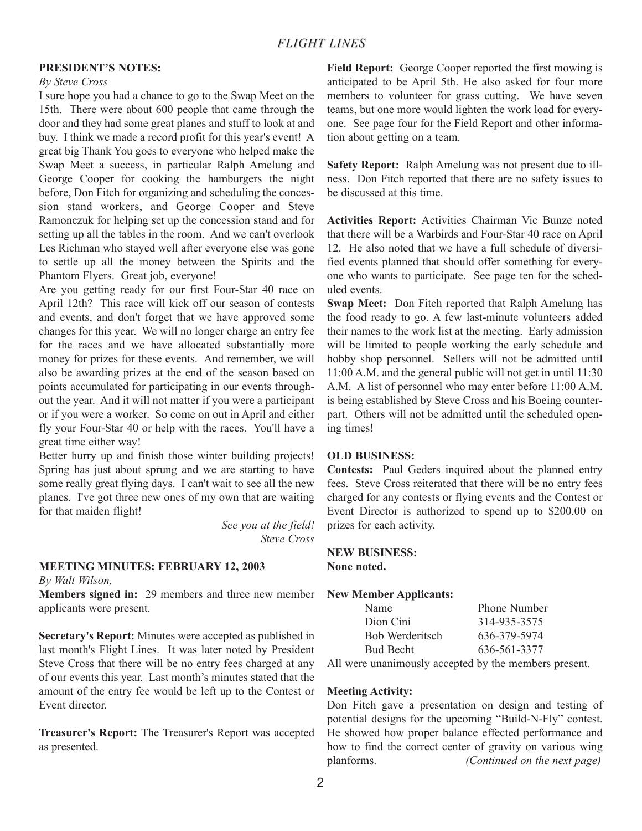## **PRESIDENT'S NOTES:**

#### *By Steve Cross*

I sure hope you had a chance to go to the Swap Meet on the 15th. There were about 600 people that came through the door and they had some great planes and stuff to look at and buy. I think we made a record profit for this year's event! A great big Thank You goes to everyone who helped make the Swap Meet a success, in particular Ralph Amelung and George Cooper for cooking the hamburgers the night before, Don Fitch for organizing and scheduling the concession stand workers, and George Cooper and Steve Ramonczuk for helping set up the concession stand and for setting up all the tables in the room. And we can't overlook Les Richman who stayed well after everyone else was gone to settle up all the money between the Spirits and the Phantom Flyers. Great job, everyone!

Are you getting ready for our first Four-Star 40 race on April 12th? This race will kick off our season of contests and events, and don't forget that we have approved some changes for this year. We will no longer charge an entry fee for the races and we have allocated substantially more money for prizes for these events. And remember, we will also be awarding prizes at the end of the season based on points accumulated for participating in our events throughout the year. And it will not matter if you were a participant or if you were a worker. So come on out in April and either fly your Four-Star 40 or help with the races. You'll have a great time either way!

Better hurry up and finish those winter building projects! Spring has just about sprung and we are starting to have some really great flying days. I can't wait to see all the new planes. I've got three new ones of my own that are waiting for that maiden flight!

> *See you at the field! Steve Cross*

## **MEETING MINUTES: FEBRUARY 12, 2003**

*By Walt Wilson,*

**Members signed in:** 29 members and three new member applicants were present.

**Secretary's Report:** Minutes were accepted as published in last month's Flight Lines. It was later noted by President Steve Cross that there will be no entry fees charged at any of our events this year. Last month's minutes stated that the amount of the entry fee would be left up to the Contest or Event director.

**Treasurer's Report:** The Treasurer's Report was accepted as presented.

**Field Report:** George Cooper reported the first mowing is anticipated to be April 5th. He also asked for four more members to volunteer for grass cutting. We have seven teams, but one more would lighten the work load for everyone. See page four for the Field Report and other information about getting on a team.

**Safety Report:** Ralph Amelung was not present due to illness. Don Fitch reported that there are no safety issues to be discussed at this time.

**Activities Report:** Activities Chairman Vic Bunze noted that there will be a Warbirds and Four-Star 40 race on April 12. He also noted that we have a full schedule of diversified events planned that should offer something for everyone who wants to participate. See page ten for the scheduled events.

**Swap Meet:** Don Fitch reported that Ralph Amelung has the food ready to go. A few last-minute volunteers added their names to the work list at the meeting. Early admission will be limited to people working the early schedule and hobby shop personnel. Sellers will not be admitted until 11:00 A.M. and the general public will not get in until 11:30 A.M. A list of personnel who may enter before 11:00 A.M. is being established by Steve Cross and his Boeing counterpart. Others will not be admitted until the scheduled opening times!

### **OLD BUSINESS:**

**Contests:** Paul Geders inquired about the planned entry fees. Steve Cross reiterated that there will be no entry fees charged for any contests or flying events and the Contest or Event Director is authorized to spend up to \$200.00 on prizes for each activity.

## **NEW BUSINESS:**

**None noted.**

#### **New Member Applicants:**

| Name             | <b>Phone Number</b>    |
|------------------|------------------------|
| Dion Cini        | 314-935-3575           |
| Bob Werderitsch  | 636-379-5974           |
| <b>Bud Becht</b> | 636-561-3377           |
|                  | $\cdot$ 11 $\cdot$ 1 1 |

All were unanimously accepted by the members present.

#### **Meeting Activity:**

Don Fitch gave a presentation on design and testing of potential designs for the upcoming "Build-N-Fly" contest. He showed how proper balance effected performance and how to find the correct center of gravity on various wing planforms. *(Continued on the next page)*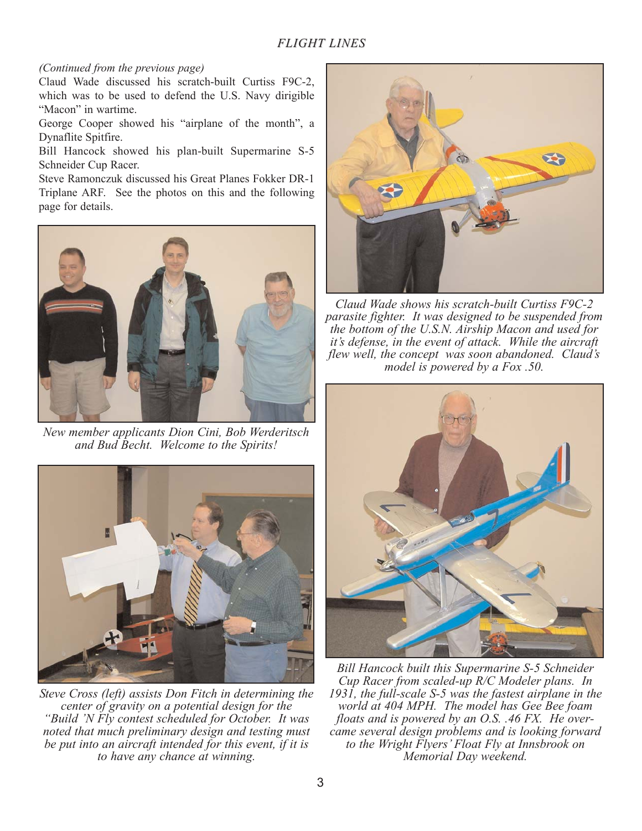## *FLIGHT LINES*

## *(Continued from the previous page)*

Claud Wade discussed his scratch-built Curtiss F9C-2, which was to be used to defend the U.S. Navy dirigible "Macon" in wartime.

George Cooper showed his "airplane of the month", a Dynaflite Spitfire.

Bill Hancock showed his plan-built Supermarine S-5 Schneider Cup Racer.

Steve Ramonczuk discussed his Great Planes Fokker DR-1 Triplane ARF. See the photos on this and the following page for details.



*New member applicants Dion Cini, Bob Werderitsch and Bud Becht. Welcome to the Spirits!* 



*Steve Cross (left) assists Don Fitch in determining the center of gravity on a potential design for the "Build 'N Fly contest scheduled for October. It was noted that much preliminary design and testing must be put into an aircraft intended for this event, if it is to have any chance at winning.*



*Claud Wade shows his scratch-built Curtiss F9C-2 parasite fighter. It was designed to be suspended from the bottom of the U.S.N. Airship Macon and used for it's defense, in the event of attack. While the aircraft flew well, the concept was soon abandoned. Claud's model is powered by a Fox .50.*



*Bill Hancock built this Supermarine S-5 Schneider Cup Racer from scaled-up R/C Modeler plans. In 1931, the full-scale S-5 was the fastest airplane in the world at 404 MPH. The model has Gee Bee foam floats and is powered by an O.S. .46 FX. He overcame several design problems and is looking forward to the Wright Flyers' Float Fly at Innsbrook on Memorial Day weekend.*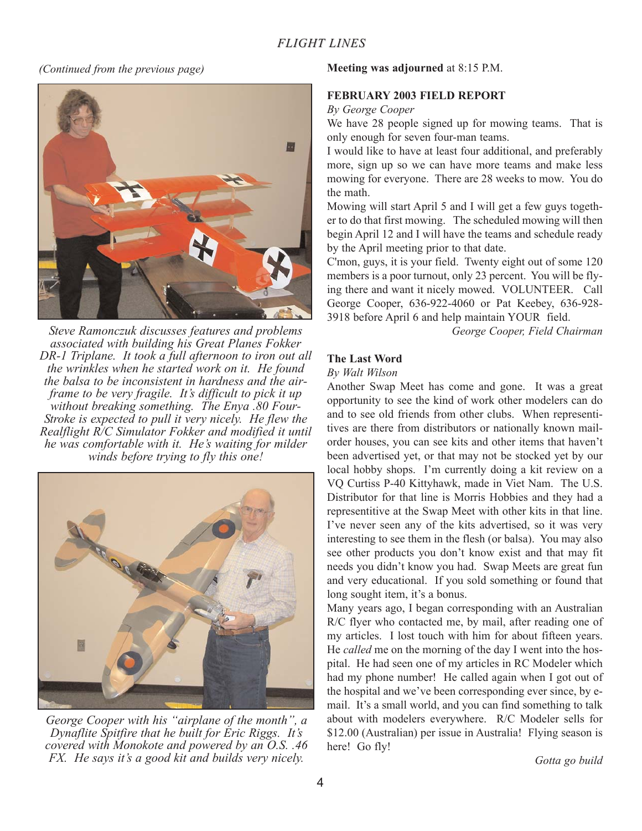## *(Continued from the previous page)*



*Steve Ramonczuk discusses features and problems associated with building his Great Planes Fokker DR-1 Triplane. It took a full afternoon to iron out all the wrinkles when he started work on it. He found the balsa to be inconsistent in hardness and the airframe to be very fragile. It's difficult to pick it up without breaking something. The Enya .80 Four-Stroke is expected to pull it very nicely. He flew the Realflight R/C Simulator Fokker and modified it until he was comfortable with it. He's waiting for milder winds before trying to fly this one!*



*George Cooper with his "airplane of the month", a Dynaflite Spitfire that he built for Eric Riggs. It's covered with Monokote and powered by an O.S. .46 FX. He says it's a good kit and builds very nicely.* 

## **Meeting was adjourned** at 8:15 P.M.

## **FEBRUARY 2003 FIELD REPORT**

*By George Cooper*

We have 28 people signed up for mowing teams. That is only enough for seven four-man teams.

I would like to have at least four additional, and preferably more, sign up so we can have more teams and make less mowing for everyone. There are 28 weeks to mow. You do the math.

Mowing will start April 5 and I will get a few guys together to do that first mowing. The scheduled mowing will then begin April 12 and I will have the teams and schedule ready by the April meeting prior to that date.

C'mon, guys, it is your field. Twenty eight out of some 120 members is a poor turnout, only 23 percent. You will be flying there and want it nicely mowed. VOLUNTEER. Call George Cooper, 636-922-4060 or Pat Keebey, 636-928- 3918 before April 6 and help maintain YOUR field.

*George Cooper, Field Chairman*

## **The Last Word**

#### *By Walt Wilson*

Another Swap Meet has come and gone. It was a great opportunity to see the kind of work other modelers can do and to see old friends from other clubs. When representitives are there from distributors or nationally known mailorder houses, you can see kits and other items that haven't been advertised yet, or that may not be stocked yet by our local hobby shops. I'm currently doing a kit review on a VQ Curtiss P-40 Kittyhawk, made in Viet Nam. The U.S. Distributor for that line is Morris Hobbies and they had a representitive at the Swap Meet with other kits in that line. I've never seen any of the kits advertised, so it was very interesting to see them in the flesh (or balsa). You may also see other products you don't know exist and that may fit needs you didn't know you had. Swap Meets are great fun and very educational. If you sold something or found that long sought item, it's a bonus.

Many years ago, I began corresponding with an Australian R/C flyer who contacted me, by mail, after reading one of my articles. I lost touch with him for about fifteen years. He *called* me on the morning of the day I went into the hospital. He had seen one of my articles in RC Modeler which had my phone number! He called again when I got out of the hospital and we've been corresponding ever since, by email. It's a small world, and you can find something to talk about with modelers everywhere. R/C Modeler sells for \$12.00 (Australian) per issue in Australia! Flying season is here! Go fly!

*Gotta go build*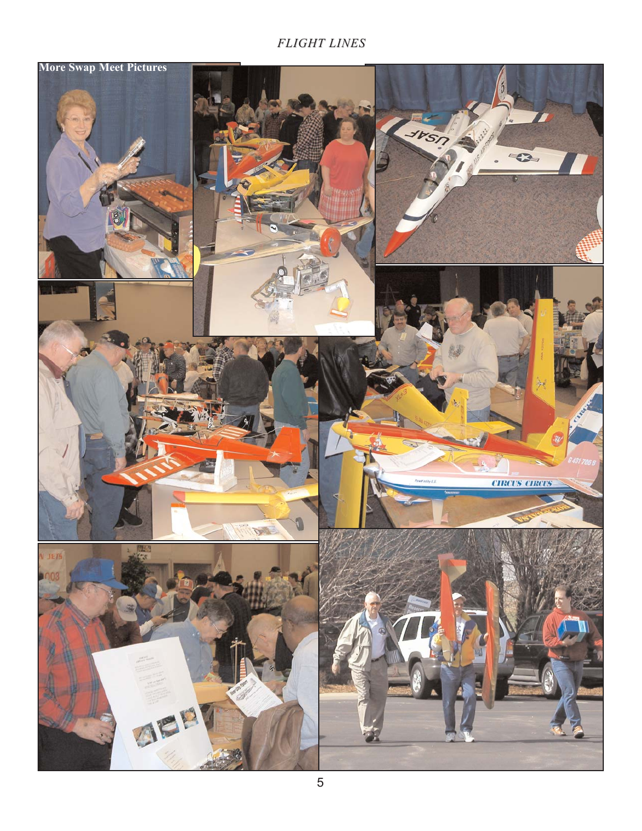## *FLIGHT LINES*